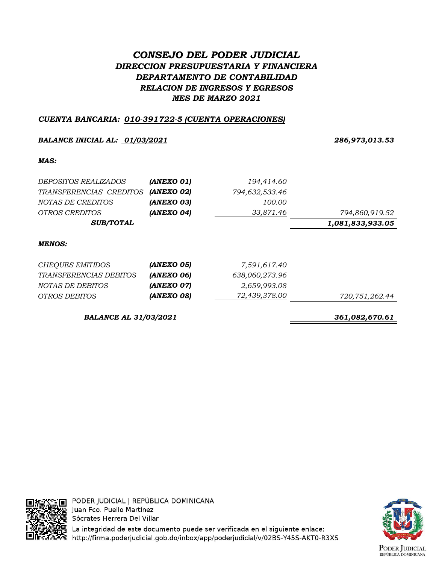# *CONSEJO DEL PODER JUDICIAL DIRECCION PRESUPUESTARIA Y FINANCIERA DEPARTAMENTO DE CONTABILIDAD RELACION DE INGRESOS Y EGRESOS MES DE MARZO 2021*

# *CUENTA BANCARIA: 010-391722-5 (CUENTA OPERACIONES)*

## *BALANCE INICIAL AL: 01/03/2021 286,973,013.53*

### *MAS:*

| DEPOSITOS REALIZADOS    | (ANEXO 01) | 194,414.60     |                  |
|-------------------------|------------|----------------|------------------|
| TRANSFERENCIAS CREDITOS | (ANEXO 02) | 794,632,533.46 |                  |
| NOTAS DE CREDITOS       | (ANEXO 03) | 100.00         |                  |
| <i>OTROS CREDITOS</i>   | (ANEXO 04) | 33,871.46      | 794,860,919.52   |
| <b>SUB/TOTAL</b>        |            |                | 1,081,833,933.05 |
|                         |            |                |                  |

### *MENOS:*

| CHEQUES EMITIDOS       | (ANEXO 05) | 7,591,617.40   |                |
|------------------------|------------|----------------|----------------|
| TRANSFERENCIAS DEBITOS | (ANEXO 06) | 638,060,273.96 |                |
| NOTAS DE DEBITOS       | (ANEXO 07) | 2,659,993.08   |                |
| OTROS DEBITOS          | (ANEXO 08) | 72,439,378.00  | 720,751,262.44 |

*BALANCE AL 31/03/2021 361,082,670.61*



PODER JUDICIAL | REPÚBLICA DOMINICANA Juan Fco. Puello Martínez Sócrates Herrera Del Villar

La integridad de este documento puede ser verificada en el siguiente enlace: http://firma.poderjudicial.gob.do/inbox/app/poderjudicial/v/02BS-Y45S-AKT0-R3XS

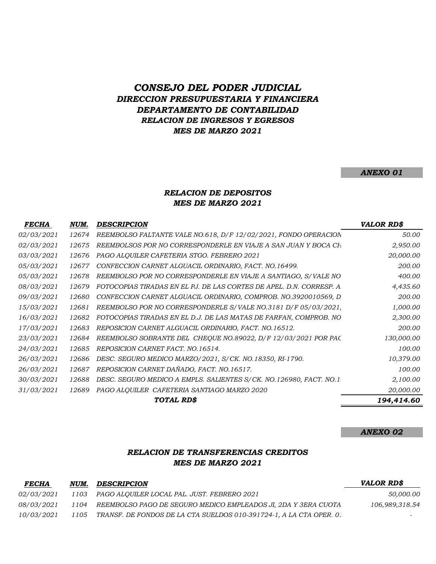# *CONSEJO DEL PODER JUDICIAL DIRECCION PRESUPUESTARIA Y FINANCIERA DEPARTAMENTO DE CONTABILIDAD RELACION DE INGRESOS Y EGRESOS MES DE MARZO 2021*

#### *ANEXO 01*

### *MES DE MARZO 2021 RELACION DE DEPOSITOS*

| <b>FECHA</b> | NUM.  | <b>DESCRIPCION</b>                                                  | VALOR RD\$ |
|--------------|-------|---------------------------------------------------------------------|------------|
| 02/03/2021   | 12674 | REEMBOLSO FALTANTE VALE NO.618, D/F 12/02/2021, FONDO OPERACION     | 50.00      |
| 02/03/2021   | 12675 | REEMBOLSOS POR NO CORRESPONDERLE EN VIAJE A SAN JUAN Y BOCA CH      | 2,950.00   |
| 03/03/2021   | 12676 | PAGO ALQUILER CAFETERIA STGO. FEBRERO 2021                          | 20,000.00  |
| 05/03/2021   | 12677 | CONFECCION CARNET ALGUACIL ORDINARIO, FACT. NO.16499.               | 200.00     |
| 05/03/2021   | 12678 | REEMBOLSO POR NO CORRESPONDERLE EN VIAJE A SANTIAGO, S/VALE NO      | 400.00     |
| 08/03/2021   | 12679 | FOTOCOPIAS TIRADAS EN EL PJ. DE LAS CORTES DE APEL. D.N. CORRESP. A | 4,435.60   |
| 09/03/2021   | 12680 | CONFECCION CARNET ALGUACIL ORDINARIO, COMPROB. NO.3920010569, D     | 200.00     |
| 15/03/2021   | 12681 | REEMBOLSO POR NO CORRESPONDERLE S/VALE NO.3181 D/F 05/03/2021,      | 1,000.00   |
| 16/03/2021   | 12682 | FOTOCOPIAS TIRADAS EN EL D.J. DE LAS MATAS DE FARFAN, COMPROB. NO   | 2,300.00   |
| 17/03/2021   | 12683 | REPOSICION CARNET ALGUACIL ORDINARIO, FACT. NO.16512.               | 200.00     |
| 23/03/2021   | 12684 | REEMBOLSO SOBRANTE DEL CHEQUE NO.89022, D/F 12/03/2021 POR PAC      | 130,000.00 |
| 24/03/2021   | 12685 | REPOSICION CARNET FACT. NO.16514.                                   | 100.00     |
| 26/03/2021   | 12686 | DESC. SEGURO MEDICO MARZO/2021, S/CK. NO.18350, RI-1790.            | 10,379.00  |
| 26/03/2021   | 12687 | REPOSICION CARNET DAÑADO, FACT. NO.16517.                           | 100.00     |
| 30/03/2021   | 12688 | DESC. SEGURO MEDICO A EMPLS. SALIENTES S/CK. NO.126980, FACT. NO.1  | 2,100.00   |
| 31/03/2021   | 12689 | PAGO ALQUILER CAFETERIA SANTIAGO MARZO 2020                         | 20,000.00  |
|              |       | TOTAL RD\$                                                          | 194,414.60 |

#### *ANEXO 02*

### *RELACION DE TRANSFERENCIAS CREDITOS MES DE MARZO 2021*

| <b>FECHA</b>      | NUM. | DESCRIPCION                                                              | VALOR RD\$     |
|-------------------|------|--------------------------------------------------------------------------|----------------|
| <i>02/03/2021</i> |      | 1103 PAGO ALOUILER LOCAL PAL. JUST. FEBRERO 2021                         | 50,000.00      |
| <i>08/03/2021</i> | 1104 | REEMBOLSO PAGO DE SEGURO MEDICO EMPLEADOS JI, 2DA Y 3ERA CUOTA           | 106,989,318.54 |
| <i>10/03/2021</i> |      | 1105 TRANSF. DE FONDOS DE LA CTA SUELDOS 010-391724-1, A LA CTA OPER. 0. |                |
|                   |      |                                                                          |                |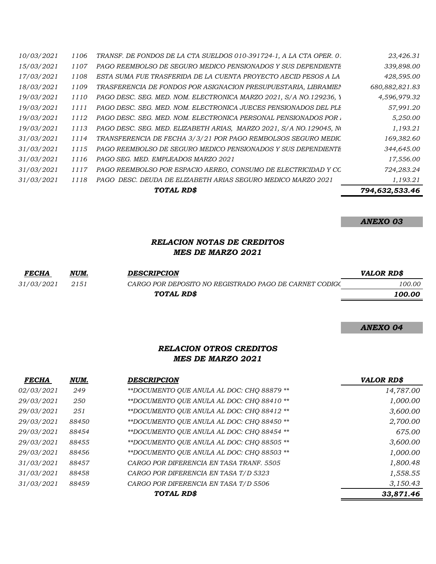|            |      | TOTAL RD\$                                                          | 794,632,533.46 |
|------------|------|---------------------------------------------------------------------|----------------|
| 31/03/2021 | 1118 | PAGO DESC. DEUDA DE ELIZABETH ARIAS SEGURO MEDICO MARZO 2021        | 1,193.21       |
| 31/03/2021 | 1117 | PAGO REEMBOLSO POR ESPACIO AEREO, CONSUMO DE ELECTRICIDAD Y CC      | 724,283.24     |
| 31/03/2021 | 1116 | PAGO SEG. MED. EMPLEADOS MARZO 2021                                 | 17,556.00      |
| 31/03/2021 | 1115 | PAGO REEMBOLSO DE SEGURO MEDICO PENSIONADOS Y SUS DEPENDIENTE       | 344,645.00     |
| 31/03/2021 | 1114 | TRANSFERENCIA DE FECHA 3/3/21 POR PAGO REMBOLSOS SEGURO MEDIC       | 169,382.60     |
| 19/03/2021 | 1113 | PAGO DESC. SEG. MED. ELIZABETH ARIAS, MARZO 2021, S/A NO.129045, No | 1,193.21       |
| 19/03/2021 | 1112 | PAGO DESC. SEG. MED. NOM. ELECTRONICA PERSONAL PENSIONADOS POR .    | 5,250.00       |
| 19/03/2021 | 1111 | PAGO DESC. SEG. MED. NOM. ELECTRONICA JUECES PENSIONADOS DEL PLI    | 57,991.20      |
| 19/03/2021 | 1110 | PAGO DESC. SEG. MED. NOM. ELECTRONICA MARZO 2021, S/A NO.129236, Y  | 4,596,979.32   |
| 18/03/2021 | 1109 | TRASFERENCIA DE FONDOS POR ASIGNACION PRESUPUESTARIA, LIBRAMIEI     | 680,882,821.83 |
| 17/03/2021 | 1108 | ESTA SUMA FUE TRASFERIDA DE LA CUENTA PROYECTO AECID PESOS A LA     | 428,595.00     |
| 15/03/2021 | 1107 | PAGO REEMBOLSO DE SEGURO MEDICO PENSIONADOS Y SUS DEPENDIENTE       | 339,898.00     |
| 10/03/2021 | 1106 | TRANSF. DE FONDOS DE LA CTA SUELDOS 010-391724-1, A LA CTA OPER. 0. | 23,426.31      |

# *RELACION NOTAS DE CREDITOS MES DE MARZO 2021*

| <b>FECHA</b>      | NUM. | <b>DESCRIPCION</b>                                     | <b>VALOR RDS</b> |
|-------------------|------|--------------------------------------------------------|------------------|
| <i>31/03/2021</i> | 2151 | CARGO POR DEPOSITO NO REGISTRADO PAGO DE CARNET CODIGO | 100.00           |
|                   |      | TOTAL RD\$                                             | 100.00           |
|                   |      |                                                        |                  |

#### *ANEXO 04*

### *RELACION OTROS CREDITOS MES DE MARZO 2021*

| <b>FECHA</b>      | NUM.  | DESCRIPCION                                | <b>VALOR RD\$</b> |
|-------------------|-------|--------------------------------------------|-------------------|
| <i>02/03/2021</i> | 249   | **DOCUMENTO QUE ANULA AL DOC: CHQ 88879 ** | 14,787.00         |
| <i>29/03/2021</i> | 250   | **DOCUMENTO OUE ANULA AL DOC: CHO 88410 ** | 1,000.00          |
| <i>29/03/2021</i> | 251   | **DOCUMENTO QUE ANULA AL DOC: CHQ 88412 ** | 3,600.00          |
| <i>29/03/2021</i> | 88450 | **DOCUMENTO OUE ANULA AL DOC: CHO 88450 ** | 2,700.00          |
| <i>29/03/2021</i> | 88454 | **DOCUMENTO OUE ANULA AL DOC: CHO 88454 ** | 675.00            |
| <i>29/03/2021</i> | 88455 | **DOCUMENTO OUE ANULA AL DOC: CHO 88505 ** | 3,600.00          |
| <i>29/03/2021</i> | 88456 | **DOCUMENTO OUE ANULA AL DOC: CHO 88503 ** | 1,000.00          |
| <i>31/03/2021</i> | 88457 | CARGO POR DIFERENCIA EN TASA TRANF. 5505   | 1,800.48          |
| <i>31/03/2021</i> | 88458 | CARGO POR DIFERENCIA EN TASA T/D 5323      | 1,558.55          |
| <i>31/03/2021</i> | 88459 | CARGO POR DIFERENCIA EN TASA T/D 5506      | 3,150.43          |
|                   |       | TOTAL RD\$                                 | 33,871.46         |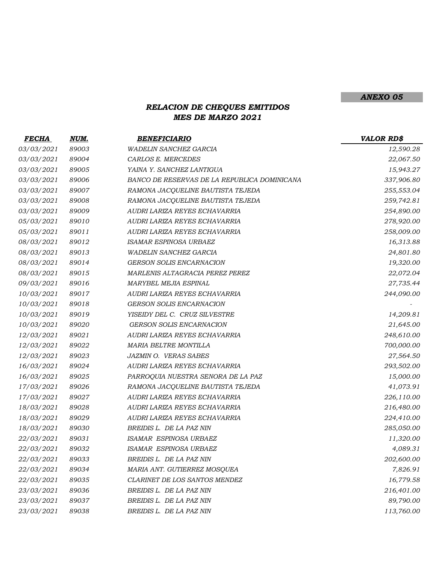# *RELACION DE CHEQUES EMITIDOS MES DE MARZO 2021*

| <b>FECHA</b>      | NUM.  | <b>BENEFICIARIO</b>                          | <b>VALOR RD\$</b> |
|-------------------|-------|----------------------------------------------|-------------------|
| 03/03/2021        | 89003 | WADELIN SANCHEZ GARCIA                       | 12,590.28         |
| 03/03/2021        | 89004 | CARLOS E. MERCEDES                           | 22,067.50         |
| 03/03/2021        | 89005 | YAINA Y. SANCHEZ LANTIGUA                    | 15,943.27         |
| 03/03/2021        | 89006 | BANCO DE RESERVAS DE LA REPUBLICA DOMINICANA | 337,906.80        |
| 03/03/2021        | 89007 | RAMONA JACQUELINE BAUTISTA TEJEDA            | 255,553.04        |
| 03/03/2021        | 89008 | RAMONA JACQUELINE BAUTISTA TEJEDA            | 259,742.81        |
| 03/03/2021        | 89009 | AUDRI LARIZA REYES ECHAVARRIA                | 254,890.00        |
| 05/03/2021        | 89010 | AUDRI LARIZA REYES ECHAVARRIA                | 278,920.00        |
| 05/03/2021        | 89011 | AUDRI LARIZA REYES ECHAVARRIA                | 258,009.00        |
| 08/03/2021        | 89012 | ISAMAR ESPINOSA URBAEZ                       | 16,313.88         |
| 08/03/2021        | 89013 | WADELIN SANCHEZ GARCIA                       | 24,801.80         |
| 08/03/2021        | 89014 | <b>GERSON SOLIS ENCARNACION</b>              | 19,320.00         |
| 08/03/2021        | 89015 | MARLENIS ALTAGRACIA PEREZ PEREZ              | 22,072.04         |
| 09/03/2021        | 89016 | MARYBEL MEJIA ESPINAL                        | 27,735.44         |
| 10/03/2021        | 89017 | AUDRI LARIZA REYES ECHAVARRIA                | 244,090.00        |
| 10/03/2021        | 89018 | <b>GERSON SOLIS ENCARNACION</b>              |                   |
| 10/03/2021        | 89019 | YISEIDY DEL C. CRUZ SILVESTRE                | 14,209.81         |
| 10/03/2021        | 89020 | <b>GERSON SOLIS ENCARNACION</b>              | 21,645.00         |
| 12/03/2021        | 89021 | AUDRI LARIZA REYES ECHAVARRIA                | 248,610.00        |
| <i>12/03/2021</i> | 89022 | MARIA BELTRE MONTILLA                        | 700,000.00        |
| 12/03/2021        | 89023 | JAZMIN O. VERAS SABES                        | 27,564.50         |
| 16/03/2021        | 89024 | AUDRI LARIZA REYES ECHAVARRIA                | 293,502.00        |
| 16/03/2021        | 89025 | PARROQUIA NUESTRA SENORA DE LA PAZ           | 15,000.00         |
| 17/03/2021        | 89026 | RAMONA JACQUELINE BAUTISTA TEJEDA            | 41,073.91         |
| 17/03/2021        | 89027 | AUDRI LARIZA REYES ECHAVARRIA                | 226,110.00        |
| 18/03/2021        | 89028 | AUDRI LARIZA REYES ECHAVARRIA                | 216,480.00        |
| 18/03/2021        | 89029 | AUDRI LARIZA REYES ECHAVARRIA                | 224,410.00        |
| 18/03/2021        | 89030 | BREIDIS L. DE LA PAZ NIN                     | 285,050.00        |
| 22/03/2021        | 89031 | ISAMAR ESPINOSA URBAEZ                       | 11,320.00         |
| 22/03/2021        | 89032 | ISAMAR ESPINOSA URBAEZ                       | 4,089.31          |
| 22/03/2021        | 89033 | BREIDIS L. DE LA PAZ NIN                     | 202,600.00        |
| 22/03/2021        | 89034 | MARIA ANT. GUTIERREZ MOSQUEA                 | 7,826.91          |
| 22/03/2021        | 89035 | CLARINET DE LOS SANTOS MENDEZ                | 16,779.58         |
| 23/03/2021        | 89036 | BREIDIS L. DE LA PAZ NIN                     | 216,401.00        |
| 23/03/2021        | 89037 | BREIDIS L. DE LA PAZ NIN                     | 89,790.00         |
| 23/03/2021        | 89038 | BREIDIS L. DE LA PAZ NIN                     | 113,760.00        |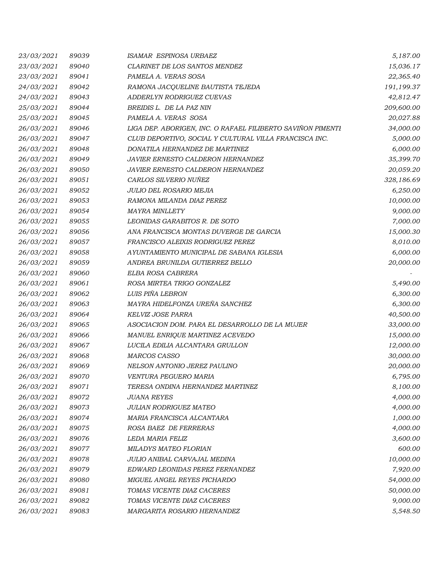| 23/03/2021 | 89039 | ISAMAR ESPINOSA URBAEZ                                      | 5,187.00   |
|------------|-------|-------------------------------------------------------------|------------|
| 23/03/2021 | 89040 | CLARINET DE LOS SANTOS MENDEZ                               | 15,036.17  |
| 23/03/2021 | 89041 | PAMELA A. VERAS SOSA                                        | 22,365.40  |
| 24/03/2021 | 89042 | RAMONA JACQUELINE BAUTISTA TEJEDA                           | 191,199.37 |
| 24/03/2021 | 89043 | ADDERLYN RODRIGUEZ CUEVAS                                   | 42,812.47  |
| 25/03/2021 | 89044 | BREIDIS L. DE LA PAZ NIN                                    | 209,600.00 |
| 25/03/2021 | 89045 | PAMELA A. VERAS SOSA                                        | 20,027.88  |
| 26/03/2021 | 89046 | LIGA DEP. ABORIGEN, INC. O RAFAEL FILIBERTO SAVIÑON PIMENTI | 34,000.00  |
| 26/03/2021 | 89047 | CLUB DEPORTIVO, SOCIAL Y CULTURAL VILLA FRANCISCA INC.      | 5,000.00   |
| 26/03/2021 | 89048 | DONATILA HERNANDEZ DE MARTINEZ                              | 6,000.00   |
| 26/03/2021 | 89049 | JAVIER ERNESTO CALDERON HERNANDEZ                           | 35,399.70  |
| 26/03/2021 | 89050 | JAVIER ERNESTO CALDERON HERNANDEZ                           | 20,059.20  |
| 26/03/2021 | 89051 | CARLOS SILVERIO NUÑEZ                                       | 328,186.69 |
| 26/03/2021 | 89052 | JULIO DEL ROSARIO MEJIA                                     | 6,250.00   |
| 26/03/2021 | 89053 | RAMONA MILANDA DIAZ PEREZ                                   | 10,000.00  |
| 26/03/2021 | 89054 | <b>MAYRA MINLLETY</b>                                       | 9,000.00   |
| 26/03/2021 | 89055 | LEONIDAS GARABITOS R. DE SOTO                               | 7,000.00   |
| 26/03/2021 | 89056 | ANA FRANCISCA MONTAS DUVERGE DE GARCIA                      | 15,000.30  |
| 26/03/2021 | 89057 | FRANCISCO ALEIXIS RODRIGUEZ PEREZ                           | 8,010.00   |
| 26/03/2021 | 89058 | AYUNTAMIENTO MUNICIPAL DE SABANA IGLESIA                    | 6,000.00   |
| 26/03/2021 | 89059 | ANDREA BRUNILDA GUTIERREZ BELLO                             | 20,000.00  |
| 26/03/2021 | 89060 | ELBA ROSA CABRERA                                           |            |
| 26/03/2021 | 89061 | ROSA MIRTEA TRIGO GONZALEZ                                  | 5,490.00   |
| 26/03/2021 | 89062 | LUIS PIÑA LEBRON                                            | 6,300.00   |
| 26/03/2021 | 89063 | MAYRA HIDELFONZA UREÑA SANCHEZ                              | 6,300.00   |
| 26/03/2021 | 89064 | KELVIZ JOSE PARRA                                           | 40,500.00  |
| 26/03/2021 | 89065 | ASOCIACION DOM. PARA EL DESARROLLO DE LA MUJER              | 33,000.00  |
| 26/03/2021 | 89066 | MANUEL ENRIQUE MARTINEZ ACEVEDO                             | 15,000.00  |
| 26/03/2021 | 89067 | LUCILA EDILIA ALCANTARA GRULLON                             | 12,000.00  |
| 26/03/2021 | 89068 | <b>MARCOS CASSO</b>                                         | 30,000.00  |
| 26/03/2021 | 89069 | NELSON ANTONIO JEREZ PAULINO                                | 20,000.00  |
| 26/03/2021 | 89070 | VENTURA PEGUERO MARIA                                       | 6,795.00   |
| 26/03/2021 | 89071 | TERESA ONDINA HERNANDEZ MARTINEZ                            | 8,100.00   |
| 26/03/2021 | 89072 | <i>JUANA REYES</i>                                          | 4,000.00   |
| 26/03/2021 | 89073 | <b>JULIAN RODRIGUEZ MATEO</b>                               | 4,000.00   |
| 26/03/2021 | 89074 | MARIA FRANCISCA ALCANTARA                                   | 1,000.00   |
| 26/03/2021 | 89075 | ROSA BAEZ DE FERRERAS                                       | 4,000.00   |
| 26/03/2021 | 89076 | LEDA MARIA FELIZ                                            | 3,600.00   |
| 26/03/2021 | 89077 | MILADYS MATEO FLORIAN                                       | 600.00     |
| 26/03/2021 | 89078 | JULIO ANIBAL CARVAJAL MEDINA                                | 10,000.00  |
| 26/03/2021 | 89079 | EDWARD LEONIDAS PEREZ FERNANDEZ                             | 7,920.00   |
| 26/03/2021 | 89080 | MIGUEL ANGEL REYES PICHARDO                                 | 54,000.00  |
| 26/03/2021 | 89081 | TOMAS VICENTE DIAZ CACERES                                  | 50,000.00  |
| 26/03/2021 | 89082 | TOMAS VICENTE DIAZ CACERES                                  | 9,000.00   |
| 26/03/2021 | 89083 | MARGARITA ROSARIO HERNANDEZ                                 | 5,548.50   |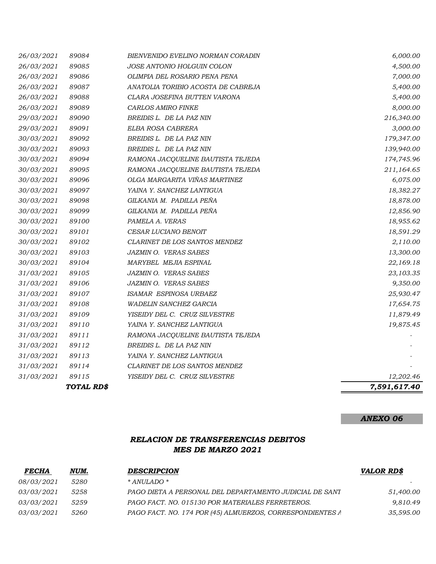|                          | TOTAL RD\$     |                                                             | 7,591,617.40         |
|--------------------------|----------------|-------------------------------------------------------------|----------------------|
| 31/03/2021               | 89115          | YISEIDY DEL C. CRUZ SILVESTRE                               | 12,202.46            |
| 31/03/2021               | 89114          | CLARINET DE LOS SANTOS MENDEZ                               |                      |
| 31/03/2021               | 89113          | YAINA Y. SANCHEZ LANTIGUA                                   |                      |
| 31/03/2021               | 89112          | BREIDIS L. DE LA PAZ NIN                                    |                      |
| 31/03/2021               | 89111          | RAMONA JACQUELINE BAUTISTA TEJEDA                           |                      |
| 31/03/2021               | 89110          | YAINA Y. SANCHEZ LANTIGUA                                   | 19,875.45            |
| 31/03/2021               | 89109          | YISEIDY DEL C. CRUZ SILVESTRE                               | 11,879.49            |
| 31/03/2021               | 89108          | WADELIN SANCHEZ GARCIA                                      | 17,654.75            |
| 31/03/2021               | 89107          | ISAMAR ESPINOSA URBAEZ                                      | 25,930.47            |
| 31/03/2021               | 89106          | JAZMIN O. VERAS SABES                                       | 9,350.00             |
| 31/03/2021               | 89105          | JAZMIN O. VERAS SABES                                       | 23,103.35            |
| 30/03/2021               | 89104          | MARYBEL MEJIA ESPINAL                                       | 22,169.18            |
| 30/03/2021               | 89103          | JAZMIN O. VERAS SABES                                       | 13,300.00            |
| 30/03/2021               | 89102          | CLARINET DE LOS SANTOS MENDEZ                               | 2,110.00             |
| 30/03/2021               | 89101          | CESAR LUCIANO BENOIT                                        | 18,591.29            |
| 30/03/2021               | 89100          | PAMELA A. VERAS                                             | 18,955.62            |
| 30/03/2021               | 89099          | GILKANIA M. PADILLA PEÑA                                    | 12,856.90            |
| 30/03/2021               | 89098          | GILKANIA M. PADILLA PEÑA                                    | 18,878.00            |
| 30/03/2021               | 89097          | YAINA Y. SANCHEZ LANTIGUA                                   | 18,382.27            |
| 30/03/2021               | 89096          | OLGA MARGARITA VIÑAS MARTINEZ                               | 6,075.00             |
| 30/03/2021               | 89095          | RAMONA JACQUELINE BAUTISTA TEJEDA                           | 211,164.65           |
| 30/03/2021               | 89094          | RAMONA JACQUELINE BAUTISTA TEJEDA                           | 174,745.96           |
| 30/03/2021               | 89093          | BREIDIS L. DE LA PAZ NIN                                    | 139,940.00           |
| 30/03/2021               | 89092          | BREIDIS L. DE LA PAZ NIN                                    | 179,347.00           |
| 29/03/2021               | 89091          | ELBA ROSA CABRERA                                           | 3,000.00             |
| 29/03/2021               | 89090          | BREIDIS L. DE LA PAZ NIN                                    | 216,340.00           |
| 26/03/2021               | 89089          | CARLOS AMIRO FINKE                                          | 8,000.00             |
| 26/03/2021               | 89088          | CLARA JOSEFINA BUTTEN VARONA                                | 5,400.00             |
| 26/03/2021               | 89087          | ANATOLIA TORIBIO ACOSTA DE CABREJA                          | 5,400.00             |
| 26/03/2021<br>26/03/2021 | 89085<br>89086 | JOSE ANTONIO HOLGUIN COLON<br>OLIMPIA DEL ROSARIO PENA PENA | 4,500.00<br>7,000.00 |
|                          |                |                                                             |                      |
| 26/03/2021               | 89084          | BIENVENIDO EVELINO NORMAN CORADIN                           | 6,000.00             |

# *RELACION DE TRANSFERENCIAS DEBITOS MES DE MARZO 2021*

| <u>FECHA</u>      | NUM. | <b>DESCRIPCION</b>                                        | <b>VALOR RD\$</b> |
|-------------------|------|-----------------------------------------------------------|-------------------|
| <i>08/03/2021</i> | 5280 | * ANULADO *                                               |                   |
| <i>03/03/2021</i> | 5258 | PAGO DIETA A PERSONAL DEL DEPARTAMENTO JUDICIAL DE SANT   | 51,400.00         |
| <i>03/03/2021</i> | 5259 | PAGO FACT. NO. 015130 POR MATERIALES FERRETEROS.          | 9,810.49          |
| <i>03/03/2021</i> | 5260 | PAGO FACT. NO. 174 POR (45) ALMUERZOS, CORRESPONDIENTES A | 35,595.00         |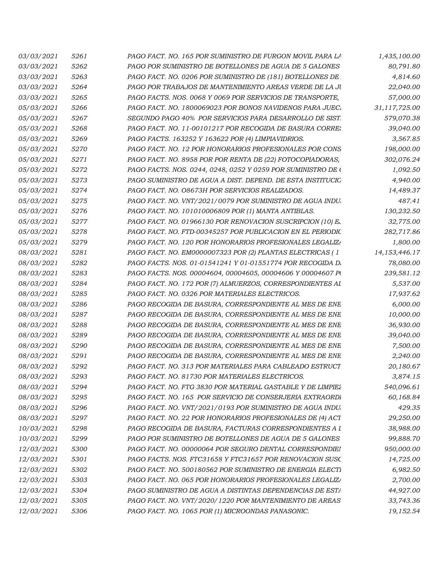| <i>03/03/2021</i> | 5261 | PAGO FACT. NO. 165 POR SUMINISTRO DE FURGON MOVIL PARA LA    | 1,435,100.00     |
|-------------------|------|--------------------------------------------------------------|------------------|
| <i>03/03/2021</i> | 5262 | PAGO POR SUMINISTRO DE BOTELLONES DE AGUA DE 5 GALONES       | 80,791.80        |
| <i>03/03/2021</i> | 5263 | PAGO FACT. NO. 0206 POR SUMINISTRO DE (181) BOTELLONES DE    | 4,814.60         |
| <i>03/03/2021</i> | 5264 | PAGO POR TRABAJOS DE MANTENIMIENTO AREAS VERDE DE LA JU      | 22,040.00        |
| <i>03/03/2021</i> | 5265 | PAGO FACTS. NOS. 0068 Y 0069 POR SERVICIOS DE TRANSPORTE,    | 57,000.00        |
| <i>05/03/2021</i> | 5266 | PAGO FACT. NO. 1800069023 POR BONOS NAVIDENOS PARA JUEC.     | 31,117,725.00    |
| <i>05/03/2021</i> | 5267 | SEGUNDO PAGO 40% POR SERVICIOS PARA DESARROLLO DE SIST.      | 579,070.38       |
| <i>05/03/2021</i> | 5268 | PAGO FACT. NO. 11-00101217 POR RECOGIDA DE BASURA CORRE.     | 39,040.00        |
| <i>05/03/2021</i> | 5269 | PAGO FACTS. 163252 Y 163622 POR (4) LIMPIAVIDRIOS.           | 3,567.85         |
| 05/03/2021        | 5270 | PAGO FACT. NO. 12 POR HONORARIOS PROFESIONALES POR CONS      | 198,000.00       |
| <i>05/03/2021</i> | 5271 | PAGO FACT. NO. 8958 POR POR RENTA DE (22) FOTOCOPIADORAS,    | 302,076.24       |
| <i>05/03/2021</i> | 5272 | PAGO FACTS. NOS. 0244, 0248, 0252 Y 0259 POR SUMINISTRO DE ( | 1,092.50         |
| <i>05/03/2021</i> | 5273 | PAGO SUMINISTRO DE AGUA A DIST. DEPEND. DE ESTA INSTITUCIC   | 4,940.00         |
| 05/03/2021        | 5274 | PAGO FACT. NO. 08673H POR SERVICIOS REALIZADOS.              | 14,489.37        |
| <i>05/03/2021</i> | 5275 | PAGO FACT. NO. VNT/2021/0079 POR SUMINISTRO DE AGUA INDU     | 487.41           |
| 05/03/2021        | 5276 | PAGO FACT. NO. 101010006809 POR (1) MANTA ANTIBLAS.          | 130,232.50       |
| <i>05/03/2021</i> | 5277 | PAGO FACT. NO. 01966130 POR RENOVACION SUSCRIPCION (10) E.   | 32,775.00        |
| <i>05/03/2021</i> | 5278 | PAGO FACT. NO. FTD-00345257 POR PUBLICACION EN EL PERIODIC   | 282,717.86       |
| <i>05/03/2021</i> | 5279 | PAGO FACT. NO. 120 POR HONORARIOS PROFESIONALES LEGALIZI     | 1,800.00         |
| <i>08/03/2021</i> | 5281 | PAGO FACT. NO. EM0000007323 POR (2) PLANTAS ELECTRICAS (1    | 14, 153, 446. 17 |
| <i>08/03/2021</i> | 5282 | PAGO FACTS. NOS. 01-01541241 Y 01-01551774 POR RECOGIDA D.   | 78,080.00        |
| <i>08/03/2021</i> | 5283 | PAGO FACTS. NOS. 00004604, 00004605, 00004606 Y 00004607 P   | 239,581.12       |
| <i>08/03/2021</i> | 5284 | PAGO FACT. NO. 172 POR (7) ALMUERZOS, CORRESPONDIENTES AL    | 5,537.00         |
| <i>08/03/2021</i> | 5285 | PAGO FACT. NO. 0326 POR MATERIALES ELECTRICOS.               | 17,937.62        |
| <i>08/03/2021</i> | 5286 | PAGO RECOGIDA DE BASURA, CORRESPONDIENTE AL MES DE ENE       | 6,000.00         |
| <i>08/03/2021</i> | 5287 | PAGO RECOGIDA DE BASURA, CORRESPONDIENTE AL MES DE ENE       | 10,000.00        |
| <i>08/03/2021</i> | 5288 | PAGO RECOGIDA DE BASURA, CORRESPONDIENTE AL MES DE ENE       | 36,930.00        |
| <i>08/03/2021</i> | 5289 | PAGO RECOGIDA DE BASURA, CORRESPONDIENTE AL MES DE ENE       | 39,040.00        |
| 08/03/2021        | 5290 | PAGO RECOGIDA DE BASURA, CORRESPONDIENTE AL MES DE ENE       | 7,500.00         |
| <i>08/03/2021</i> | 5291 | PAGO RECOGIDA DE BASURA, CORRESPONDIENTE AL MES DE ENE       | 2,240.00         |
| <i>08/03/2021</i> | 5292 | PAGO FACT. NO. 313 POR MATERIALES PARA CABLEADO ESTRUCT      | 20,180.67        |
| 08/03/2021        | 5293 | PAGO FACT. NO. 81730 POR MATERIALES ELECTRICOS.              | 3,874.15         |
| 08/03/2021        | 5294 | PAGO FACT. NO. FTG 3830 POR MATERIAL GASTABLE Y DE LIMPIE2   | 540,096.61       |
| 08/03/2021        | 5295 | PAGO FACT. NO. 165 POR SERVICIO DE CONSERJERIA EXTRAORDI     | 60,168.84        |
| 08/03/2021        | 5296 | PAGO FACT. NO. VNT/2021/0193 POR SUMINISTRO DE AGUA INDU     | 429.35           |
| 08/03/2021        | 5297 | PAGO FACT. NO. 22 POR HONORARIOS PROFESIONALES DE (4) ACT    | 29,250.00        |
| 10/03/2021        | 5298 | PAGO RECOGIDA DE BASURA, FACTURAS CORRESPONDIENTES A 1       | 38,988.00        |
| 10/03/2021        | 5299 | PAGO POR SUMINISTRO DE BOTELLONES DE AGUA DE 5 GALONES       | 99,888.70        |
| 12/03/2021        | 5300 | PAGO FACT. NO. 00000064 POR SEGURO DENTAL CORRESPONDIE!      | 950,000.00       |
| 12/03/2021        | 5301 | PAGO FACTS. NOS. FTC31658 Y FTC31657 POR RENOVACION SUSC     | 14,725.00        |
| 12/03/2021        | 5302 | PAGO FACT. NO. 500180562 POR SUMINISTRO DE ENERGIA ELECTI    | 6,982.50         |
| 12/03/2021        | 5303 | PAGO FACT. NO. 065 POR HONORARIOS PROFESIONALES LEGALIZI     | 2,700.00         |
| 12/03/2021        | 5304 | PAGO SUMINISTRO DE AGUA A DISTINTAS DEPENDENCIAS DE ESTA     | 44,927.00        |
| 12/03/2021        | 5305 | PAGO FACT. NO. VNT/2020/1220 POR MANTENIMIENTO DE AREAS      | 33,743.36        |
| 12/03/2021        | 5306 | PAGO FACT. NO. 1065 POR (1) MICROONDAS PANASONIC.            | 19,152.54        |
|                   |      |                                                              |                  |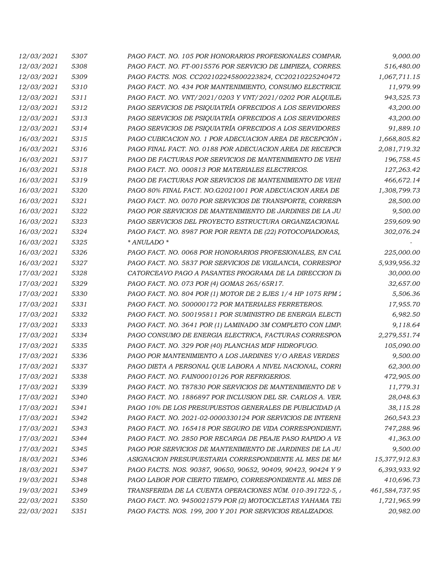| 5307        | PAGO FACT. NO. 105 POR HONORARIOS PROFESIONALES COMPAR.                                                                                                                                                                                                                                                                                                                                                                                                                                                                                                                                                                                                                                                                                                                          | 9,000.00       |
|-------------|----------------------------------------------------------------------------------------------------------------------------------------------------------------------------------------------------------------------------------------------------------------------------------------------------------------------------------------------------------------------------------------------------------------------------------------------------------------------------------------------------------------------------------------------------------------------------------------------------------------------------------------------------------------------------------------------------------------------------------------------------------------------------------|----------------|
| 5308        | PAGO FACT. NO. FT-0015576 POR SERVICIO DE LIMPIEZA, CORRES.                                                                                                                                                                                                                                                                                                                                                                                                                                                                                                                                                                                                                                                                                                                      | 516,480.00     |
| 5309        | PAGO FACTS. NOS. CC202102245800223824, CC20210225240472                                                                                                                                                                                                                                                                                                                                                                                                                                                                                                                                                                                                                                                                                                                          | 1,067,711.15   |
| 5310        | PAGO FACT. NO. 434 POR MANTENIMIENTO, CONSUMO ELECTRICIL                                                                                                                                                                                                                                                                                                                                                                                                                                                                                                                                                                                                                                                                                                                         | 11,979.99      |
| 5311        | PAGO FACT. NO. VNT/2021/0203 Y VNT/2021/0202 POR ALOUILE.                                                                                                                                                                                                                                                                                                                                                                                                                                                                                                                                                                                                                                                                                                                        | 943,525.73     |
| 5312        | PAGO SERVICIOS DE PSIQUIATRÍA OFRECIDOS A LOS SERVIDORES                                                                                                                                                                                                                                                                                                                                                                                                                                                                                                                                                                                                                                                                                                                         | 43,200.00      |
| 5313        | PAGO SERVICIOS DE PSIQUIATRÍA OFRECIDOS A LOS SERVIDORES                                                                                                                                                                                                                                                                                                                                                                                                                                                                                                                                                                                                                                                                                                                         | 43,200.00      |
| 5314        | PAGO SERVICIOS DE PSIQUIATRÍA OFRECIDOS A LOS SERVIDORES                                                                                                                                                                                                                                                                                                                                                                                                                                                                                                                                                                                                                                                                                                                         | 91,889.10      |
| 5315        | PAGO CUBICACION NO. 1 POR ADECUACION AREA DE RECEPCIÓN.                                                                                                                                                                                                                                                                                                                                                                                                                                                                                                                                                                                                                                                                                                                          | 1,668,805.82   |
| 5316        | PAGO FINAL FACT. NO. 0188 POR ADECUACION AREA DE RECEPCI\                                                                                                                                                                                                                                                                                                                                                                                                                                                                                                                                                                                                                                                                                                                        | 2,081,719.32   |
| 5317        | PAGO DE FACTURAS POR SERVICIOS DE MANTENIMIENTO DE VEHI                                                                                                                                                                                                                                                                                                                                                                                                                                                                                                                                                                                                                                                                                                                          | 196,758.45     |
| 5318        | PAGO FACT. NO. 000813 POR MATERIALES ELECTRICOS.                                                                                                                                                                                                                                                                                                                                                                                                                                                                                                                                                                                                                                                                                                                                 | 127,263.42     |
| 5319        | PAGO DE FACTURAS POR SERVICIOS DE MANTENIMIENTO DE VEHI                                                                                                                                                                                                                                                                                                                                                                                                                                                                                                                                                                                                                                                                                                                          | 466,672.14     |
| <i>5320</i> | PAGO 80% FINAL FACT. NO.G2021001 POR ADECUACION AREA DE                                                                                                                                                                                                                                                                                                                                                                                                                                                                                                                                                                                                                                                                                                                          | 1,308,799.73   |
| 5321        | PAGO FACT. NO. 0070 POR SERVICIOS DE TRANSPORTE, CORRESPORTE                                                                                                                                                                                                                                                                                                                                                                                                                                                                                                                                                                                                                                                                                                                     | 28,500.00      |
| 5322        | PAGO POR SERVICIOS DE MANTENIMIENTO DE JARDINES DE LA JU                                                                                                                                                                                                                                                                                                                                                                                                                                                                                                                                                                                                                                                                                                                         | 9,500.00       |
| 5323        | PAGO SERVICIOS DEL PROYECTO ESTRUCTURA ORGANIZACIONAL                                                                                                                                                                                                                                                                                                                                                                                                                                                                                                                                                                                                                                                                                                                            | 259,609.90     |
| 5324        | PAGO FACT. NO. 8987 POR POR RENTA DE (22) FOTOCOPIADORAS,                                                                                                                                                                                                                                                                                                                                                                                                                                                                                                                                                                                                                                                                                                                        | 302,076.24     |
| 5325        | * ANULADO *                                                                                                                                                                                                                                                                                                                                                                                                                                                                                                                                                                                                                                                                                                                                                                      |                |
| 5326        | PAGO FACT. NO. 0068 POR HONORARIOS PROFESIONALES, EN CAL                                                                                                                                                                                                                                                                                                                                                                                                                                                                                                                                                                                                                                                                                                                         | 225,000.00     |
| 5327        | PAGO FACT. NO. 5837 POR SERVICIOS DE VIGILANCIA, CORRESPOI                                                                                                                                                                                                                                                                                                                                                                                                                                                                                                                                                                                                                                                                                                                       | 5,939,956.32   |
| 5328        | CATORCEAVO PAGO A PASANTES PROGRAMA DE LA DIRECCION DI                                                                                                                                                                                                                                                                                                                                                                                                                                                                                                                                                                                                                                                                                                                           | 30,000.00      |
| 5329        | PAGO FACT. NO. 073 POR (4) GOMAS 265/65R17.                                                                                                                                                                                                                                                                                                                                                                                                                                                                                                                                                                                                                                                                                                                                      | 32,657.00      |
| 5330        | PAGO FACT. NO. 804 POR (1) MOTOR DE 2 EJES 1/4 HP 1075 RPM 1                                                                                                                                                                                                                                                                                                                                                                                                                                                                                                                                                                                                                                                                                                                     | 5,506.36       |
| 5331        | PAGO FACT. NO. 500000172 POR MATERIALES FERRETEROS.                                                                                                                                                                                                                                                                                                                                                                                                                                                                                                                                                                                                                                                                                                                              | 17,955.70      |
| 5332        | PAGO FACT. NO. 500195811 POR SUMINISTRO DE ENERGIA ELECTI                                                                                                                                                                                                                                                                                                                                                                                                                                                                                                                                                                                                                                                                                                                        | 6,982.50       |
| 5333        | PAGO FACT. NO. 3641 POR (1) LAMINADO 3M COMPLETO CON LIMP.                                                                                                                                                                                                                                                                                                                                                                                                                                                                                                                                                                                                                                                                                                                       | 9,118.64       |
| 5334        | PAGO CONSUMO DE ENERGIA ELECTRICA, FACTURAS CORRESPON                                                                                                                                                                                                                                                                                                                                                                                                                                                                                                                                                                                                                                                                                                                            | 2,279,551.74   |
| 5335        | PAGO FACT. NO. 329 POR (40) PLANCHAS MDF HIDROFUGO.                                                                                                                                                                                                                                                                                                                                                                                                                                                                                                                                                                                                                                                                                                                              | 105,090.00     |
| 5336        | PAGO POR MANTENIMIENTO A LOS JARDINES Y/O AREAS VERDES                                                                                                                                                                                                                                                                                                                                                                                                                                                                                                                                                                                                                                                                                                                           | 9,500.00       |
| 5337        | PAGO DIETA A PERSONAL QUE LABORA A NIVEL NACIONAL, CORRI                                                                                                                                                                                                                                                                                                                                                                                                                                                                                                                                                                                                                                                                                                                         | 62,300.00      |
| 5338        | PAGO FACT. NO. FAIN00010126 POR REFRIGERIOS.                                                                                                                                                                                                                                                                                                                                                                                                                                                                                                                                                                                                                                                                                                                                     | 472,905.00     |
| 5339        | PAGO FACT. NO. T87830 POR SERVICIOS DE MANTENIMIENTO DE V                                                                                                                                                                                                                                                                                                                                                                                                                                                                                                                                                                                                                                                                                                                        | 11,779.31      |
| 5340        | PAGO FACT. NO. 1886897 POR INCLUSION DEL SR. CARLOS A. VER                                                                                                                                                                                                                                                                                                                                                                                                                                                                                                                                                                                                                                                                                                                       | 28,048.63      |
| 5341        | PAGO 10% DE LOS PRESUPUESTOS GENERALES DE PUBLICIDAD (A                                                                                                                                                                                                                                                                                                                                                                                                                                                                                                                                                                                                                                                                                                                          | 38,115.28      |
| 5342        | PAGO FACT. NO. 2021-02-0000330124 POR SERVICIOS DE INTERNI                                                                                                                                                                                                                                                                                                                                                                                                                                                                                                                                                                                                                                                                                                                       | 260,543.23     |
| 5343        | PAGO FACT. NO. 165418 POR SEGURO DE VIDA CORRESPONDIENT.                                                                                                                                                                                                                                                                                                                                                                                                                                                                                                                                                                                                                                                                                                                         | 747,288.96     |
| 5344        | PAGO FACT. NO. 2850 POR RECARGA DE PEAJE PASO RAPIDO A VE                                                                                                                                                                                                                                                                                                                                                                                                                                                                                                                                                                                                                                                                                                                        | 41,363.00      |
| 5345        | PAGO POR SERVICIOS DE MANTENIMIENTO DE JARDINES DE LA JU                                                                                                                                                                                                                                                                                                                                                                                                                                                                                                                                                                                                                                                                                                                         | 9,500.00       |
| 5346        | ASIGNACION PRESUPUESTARIA CORRESPONDIENTE AL MES DE MA                                                                                                                                                                                                                                                                                                                                                                                                                                                                                                                                                                                                                                                                                                                           | 15,377,912.83  |
| 5347        | PAGO FACTS. NOS. 90387, 90650, 90652, 90409, 90423, 90424 Y 9                                                                                                                                                                                                                                                                                                                                                                                                                                                                                                                                                                                                                                                                                                                    | 6,393,933.92   |
| 5348        | PAGO LABOR POR CIERTO TIEMPO, CORRESPONDIENTE AL MES DE                                                                                                                                                                                                                                                                                                                                                                                                                                                                                                                                                                                                                                                                                                                          | 410,696.73     |
| 5349        | TRANSFERIDA DE LA CUENTA OPERACIONES NÚM. 010-391722-5, .                                                                                                                                                                                                                                                                                                                                                                                                                                                                                                                                                                                                                                                                                                                        | 461,584,737.95 |
| 5350        | PAGO FACT. NO. 9450021579 POR (2) MOTOCICLETAS YAHAMA TEI                                                                                                                                                                                                                                                                                                                                                                                                                                                                                                                                                                                                                                                                                                                        | 1,721,965.99   |
| 5351        | PAGO FACTS. NOS. 199, 200 Y 201 POR SERVICIOS REALIZADOS.                                                                                                                                                                                                                                                                                                                                                                                                                                                                                                                                                                                                                                                                                                                        | 20,982.00      |
|             | 12/03/2021<br><i>12/03/2021</i><br><i>12/03/2021</i><br><i>12/03/2021</i><br><i>12/03/2021</i><br><i>12/03/2021</i><br>12/03/2021<br><i>12/03/2021</i><br>16/03/2021<br><i>16/03/2021</i><br>16/03/2021<br>16/03/2021<br><i>16/03/2021</i><br>16/03/2021<br><i>16/03/2021</i><br>16/03/2021<br><i>16/03/2021</i><br>16/03/2021<br>16/03/2021<br>16/03/2021<br>16/03/2021<br><i>17/03/2021</i><br>17/03/2021<br>17/03/2021<br><i>17/03/2021</i><br><i>17/03/2021</i><br><i>17/03/2021</i><br><i>17/03/2021</i><br><i>17/03/2021</i><br><i>17/03/2021</i><br><i>17/03/2021</i><br>17/03/2021<br>17/03/2021<br>17/03/2021<br>17/03/2021<br>17/03/2021<br>17/03/2021<br>17/03/2021<br>17/03/2021<br>18/03/2021<br>18/03/2021<br>19/03/2021<br>19/03/2021<br>22/03/2021<br>22/03/2021 |                |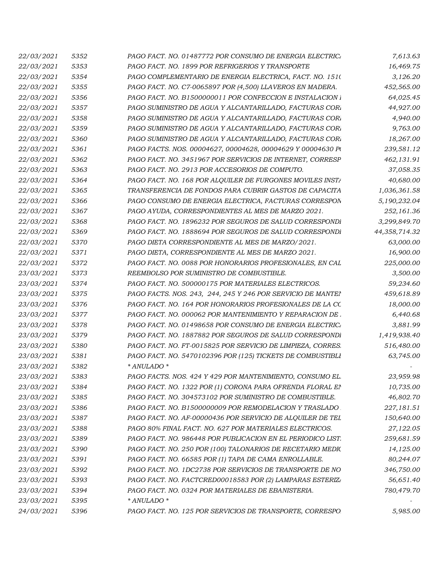| 22/03/2021        | 5352 | PAGO FACT. NO. 01487772 POR CONSUMO DE ENERGIA ELECTRIC.    | 7,613.63      |
|-------------------|------|-------------------------------------------------------------|---------------|
| 22/03/2021        | 5353 | PAGO FACT. NO. 1899 POR REFRIGERIOS Y TRANSPORTE            | 16,469.75     |
| 22/03/2021        | 5354 | PAGO COMPLEMENTARIO DE ENERGIA ELECTRICA, FACT. NO. 1510    | 3,126.20      |
| 22/03/2021        | 5355 | PAGO FACT. NO. C7-0065897 POR (4,500) LLAVEROS EN MADERA.   | 452,565.00    |
| 22/03/2021        | 5356 | PAGO FACT. NO. B1500000011 POR CONFECCION E INSTALACION     | 64,025.45     |
| 22/03/2021        | 5357 | PAGO SUMINISTRO DE AGUA Y ALCANTARILLADO, FACTURAS COR.     | 44,927.00     |
| 22/03/2021        | 5358 | PAGO SUMINISTRO DE AGUA Y ALCANTARILLADO, FACTURAS COR.     | 4,940.00      |
| 22/03/2021        | 5359 | PAGO SUMINISTRO DE AGUA Y ALCANTARILLADO, FACTURAS COR.     | 9,763.00      |
| 22/03/2021        | 5360 | PAGO SUMINISTRO DE AGUA Y ALCANTARILLADO, FACTURAS COR.     | 18,267.00     |
| 22/03/2021        | 5361 | PAGO FACTS. NOS. 00004627, 00004628, 00004629 Y 00004630 P  | 239,581.12    |
| 22/03/2021        | 5362 | PAGO FACT. NO. 3451967 POR SERVICIOS DE INTERNET, CORRESP   | 462,131.91    |
| 22/03/2021        | 5363 | PAGO FACT. NO. 2913 POR ACCESORIOS DE COMPUTO.              | 37,058.35     |
| 22/03/2021        | 5364 | PAGO FACT. NO. 168 POR ALQUILER DE FURGONES MOVILES INSTE   | 40,680.00     |
| 22/03/2021        | 5365 | TRANSFERENCIA DE FONDOS PARA CUBRIR GASTOS DE CAPACITA      | 1,036,361.58  |
| 22/03/2021        | 5366 | PAGO CONSUMO DE ENERGIA ELECTRICA, FACTURAS CORRESPON       | 5,190,232.04  |
| 22/03/2021        | 5367 | PAGO AYUDA, CORRESPONDIENTES AL MES DE MARZO 2021.          | 252,161.36    |
| 22/03/2021        | 5368 | PAGO FACT. NO. 1896232 POR SEGUROS DE SALUD CORRESPONDI     | 3,299,849.70  |
| 22/03/2021        | 5369 | PAGO FACT. NO. 1888694 POR SEGUROS DE SALUD CORRESPONDI     | 44,358,714.32 |
| 22/03/2021        | 5370 | PAGO DIETA CORRESPONDIENTE AL MES DE MARZO/2021.            | 63,000.00     |
| 22/03/2021        | 5371 | PAGO DIETA, CORRESPONDIENTE AL MES DE MARZO 2021.           | 16,900.00     |
| 22/03/2021        | 5372 | PAGO FACT. NO. 0088 POR HONORARIOS PROFESIONALES, EN CAL    | 225,000.00    |
| 23/03/2021        | 5373 | REEMBOLSO POR SUMINISTRO DE COMBUSTIBLE.                    | 3,500.00      |
| 23/03/2021        | 5374 | PAGO FACT. NO. 500000175 POR MATERIALES ELECTRICOS.         | 59,234.60     |
| 23/03/2021        | 5375 | PAGO FACTS. NOS. 243, 244, 245 Y 246 POR SERVICIO DE MANTEI | 459,618.89    |
| 23/03/2021        | 5376 | PAGO FACT. NO. 164 POR HONORARIOS PROFESIONALES DE LA CC    | 18,000.00     |
| 23/03/2021        | 5377 | PAGO FACT. NO. 000062 POR MANTENIMIENTO Y REPARACION DE .   | 6,440.68      |
| 23/03/2021        | 5378 | PAGO FACT. NO. 01498658 POR CONSUMO DE ENERGIA ELECTRIC.    | 3,881.99      |
| 23/03/2021        | 5379 | PAGO FACT. NO. 1887882 POR SEGUROS DE SALUD CORRESPONDI     | 1,419,938.40  |
| 23/03/2021        | 5380 | PAGO FACT. NO. FT-0015825 POR SERVICIO DE LIMPIEZA, CORRES. | 516,480.00    |
| <i>23/03/2021</i> | 5381 | PAGO FACT. NO. 5470102396 POR (125) TICKETS DE COMBUSTIBLI  | 63,745.00     |
| 23/03/2021        | 5382 | * ANULADO *                                                 |               |
| 23/03/2021        | 5383 | PAGO FACTS. NOS. 424 Y 429 POR MANTENIMIENTO, CONSUMO EL.   | 23,959.98     |
| 23/03/2021        | 5384 | PAGO FACT. NO. 1322 POR (1) CORONA PARA OFRENDA FLORAL EI   | 10,735.00     |
| 23/03/2021        | 5385 | PAGO FACT. NO. 304573102 POR SUMINISTRO DE COMBUSTIBLE.     | 46,802.70     |
| 23/03/2021        | 5386 | PAGO FACT. NO. B1500000009 POR REMODELACION Y TRASLADO      | 227,181.51    |
| 23/03/2021        | 5387 | PAGO FACT. NO. AF-00000436 POR SERVICIO DE ALQUILER DE TEL  | 150,640.00    |
| 23/03/2021        | 5388 | PAGO 80% FINAL FACT. NO. 627 POR MATERIALES ELECTRICOS.     | 27,122.05     |
| 23/03/2021        | 5389 | PAGO FACT. NO. 986448 POR PUBLICACION EN EL PERIODICO LIST. | 259,681.59    |
| 23/03/2021        | 5390 | PAGO FACT. NO. 250 POR (100) TALONARIOS DE RECETARIO MEDIO  | 14,125.00     |
| 23/03/2021        | 5391 | PAGO FACT. NO. 66585 POR (1) TAPA DE CAMA ENROLLABLE.       | 80,244.07     |
| 23/03/2021        | 5392 | PAGO FACT. NO. 1DC2738 POR SERVICIOS DE TRANSPORTE DE NO    | 346,750.00    |
| 23/03/2021        | 5393 | PAGO FACT. NO. FACTCRED00018583 POR (2) LAMPARAS ESTERIZA   | 56,651.40     |
| 23/03/2021        | 5394 | PAGO FACT. NO. 0324 POR MATERIALES DE EBANISTERIA.          | 780,479.70    |
| 23/03/2021        | 5395 | * ANULADO *                                                 |               |
| 24/03/2021        | 5396 | PAGO FACT. NO. 125 POR SERVICIOS DE TRANSPORTE, CORRESPO    | 5,985.00      |
|                   |      |                                                             |               |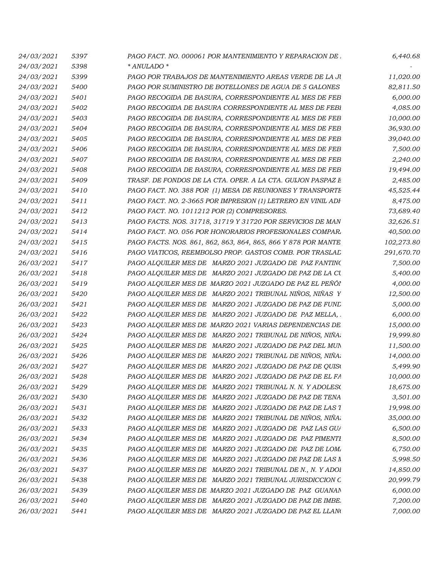| 24/03/2021        | 5397 | PAGO FACT. NO. 000061 POR MANTENIMIENTO Y REPARACION DE.      | 6,440.68   |
|-------------------|------|---------------------------------------------------------------|------------|
| 24/03/2021        | 5398 | * ANULADO *                                                   |            |
| 24/03/2021        | 5399 | PAGO POR TRABAJOS DE MANTENIMIENTO AREAS VERDE DE LA JU       | 11,020.00  |
| 24/03/2021        | 5400 | PAGO POR SUMINISTRO DE BOTELLONES DE AGUA DE 5 GALONES        | 82,811.50  |
| 24/03/2021        | 5401 | PAGO RECOGIDA DE BASURA, CORRESPONDIENTE AL MES DE FEB        | 6,000.00   |
| 24/03/2021        | 5402 | PAGO RECOGIDA DE BASURA CORRESPONDIENTE AL MES DE FEBI        | 4,085.00   |
| <i>24/03/2021</i> | 5403 | PAGO RECOGIDA DE BASURA, CORRESPONDIENTE AL MES DE FEB        | 10,000.00  |
| 24/03/2021        | 5404 | PAGO RECOGIDA DE BASURA, CORRESPONDIENTE AL MES DE FEB        | 36,930.00  |
| 24/03/2021        | 5405 | PAGO RECOGIDA DE BASURA, CORRESPONDIENTE AL MES DE FEB        | 39,040.00  |
| 24/03/2021        | 5406 | PAGO RECOGIDA DE BASURA, CORRESPONDIENTE AL MES DE FEB        | 7,500.00   |
| 24/03/2021        | 5407 | PAGO RECOGIDA DE BASURA, CORRESPONDIENTE AL MES DE FEB        | 2,240.00   |
| 24/03/2021        | 5408 | PAGO RECOGIDA DE BASURA, CORRESPONDIENTE AL MES DE FEB        | 19,494.00  |
| 24/03/2021        | 5409 | TRASF. DE FONDOS DE LA CTA. OPER. A LA CTA. GUIJON PASPAZ E   | 2,485.00   |
| <i>24/03/2021</i> | 5410 | PAGO FACT. NO. 388 POR (1) MESA DE REUNIONES Y TRANSPORTE     | 45,525.44  |
| 24/03/2021        | 5411 | PAGO FACT. NO. 2-3665 POR IMPRESION (1) LETRERO EN VINIL ADF  | 8,475.00   |
| 24/03/2021        | 5412 | PAGO FACT. NO. 1011212 POR (2) COMPRESORES.                   | 73,689.40  |
| 24/03/2021        | 5413 | PAGO FACTS. NOS. 31718, 31719 Y 31720 POR SERVICIOS DE MAN    | 32,626.51  |
| 24/03/2021        | 5414 | PAGO FACT. NO. 056 POR HONORARIOS PROFESIONALES COMPAR.       | 40,500.00  |
| 24/03/2021        | 5415 | PAGO FACTS. NOS. 861, 862, 863, 864, 865, 866 Y 878 POR MANTE | 102,273.80 |
| 24/03/2021        | 5416 | PAGO VIATICOS, REEMBOLSO PROP. GASTOS COMB. POR TRASLAL       | 291,670.70 |
| <i>26/03/2021</i> | 5417 | PAGO ALQUILER MES DE MARZO 2021 JUZGADO DE PAZ FANTINO        | 7,500.00   |
| 26/03/2021        | 5418 | PAGO ALQUILER MES DE MARZO 2021 JUZGADO DE PAZ DE LA CU       | 5,400.00   |
| 26/03/2021        | 5419 | PAGO ALQUILER MES DE MARZO 2021 JUZGADO DE PAZ EL PEÑOI       | 4,000.00   |
| 26/03/2021        | 5420 | PAGO ALQUILER MES DE MARZO 2021 TRIBUNAL NINOS, NINAS Y       | 12,500.00  |
| 26/03/2021        | 5421 | PAGO ALQUILER MES DE MARZO 2021 JUZGADO DE PAZ DE FUNL        | 5,000.00   |
| 26/03/2021        | 5422 | PAGO ALQUILER MES DE MARZO 2021 JUZGADO DE PAZ MELLA,         | 6,000.00   |
| 26/03/2021        | 5423 | PAGO ALQUILER MES DE MARZO 2021 VARIAS DEPENDENCIAS DE        | 15,000.00  |
| 26/03/2021        | 5424 | PAGO ALQUILER MES DE MARZO 2021 TRIBUNAL DE NIÑOS, NIÑA,      | 19,999.80  |
| 26/03/2021        | 5425 | PAGO ALQUILER MES DE MARZO 2021 JUZGADO DE PAZ DEL MUN        | 11,500.00  |
| <i>26/03/2021</i> | 5426 | PAGO ALQUILER MES DE MARZO 2021 TRIBUNAL DE NIÑOS, NIÑA       | 14,000.00  |
| 26/03/2021        | 5427 | PAGO ALQUILER MES DE MARZO 2021 JUZGADO DE PAZ DE QUISO       | 5,499.90   |
| 26/03/2021        | 5428 | PAGO ALQUILER MES DE MARZO 2021 JUZGADO DE PAZ DE EL FA       | 10,000.00  |
| 26/03/2021        | 5429 | PAGO ALQUILER MES DE MARZO 2021 TRIBUNAL N. N. Y ADOLESO      | 18,675.00  |
| 26/03/2021        | 5430 | PAGO ALQUILER MES DE MARZO 2021 JUZGADO DE PAZ DE TENA        | 3,501.00   |
| 26/03/2021        | 5431 | PAGO ALQUILER MES DE MARZO 2021 JUZGADO DE PAZ DE LAS 1       | 19,998.00  |
| 26/03/2021        | 5432 | PAGO ALQUILER MES DE MARZO 2021 TRIBUNAL DE NIÑOS, NIÑA       | 35,000.00  |
| 26/03/2021        | 5433 | PAGO ALQUILER MES DE MARZO 2021 JUZGADO DE PAZ LAS GUA        | 6,500.00   |
| 26/03/2021        | 5434 | PAGO ALQUILER MES DE MARZO 2021 JUZGADO DE PAZ PIMENTI        | 8,500.00   |
| 26/03/2021        | 5435 | PAGO ALQUILER MES DE MARZO 2021 JUZGADO DE PAZ DE LOM.        | 6,750.00   |
| 26/03/2021        | 5436 | PAGO ALQUILER MES DE MARZO 2021 JUZGADO DE PAZ DE LAS M       | 5,998.50   |
| 26/03/2021        | 5437 | PAGO ALQUILER MES DE MARZO 2021 TRIBUNAL DE N., N. Y ADOI     | 14,850.00  |
| 26/03/2021        | 5438 | PAGO ALQUILER MES DE MARZO 2021 TRIBUNAL JURISDICCION C       | 20,999.79  |
| 26/03/2021        | 5439 | PAGO ALQUILER MES DE MARZO 2021 JUZGADO DE PAZ GUANAN         | 6,000.00   |
| 26/03/2021        | 5440 | PAGO ALQUILER MES DE MARZO 2021 JUZGADO DE PAZ DE IMBE.       | 7,200.00   |
| 26/03/2021        | 5441 | PAGO ALQUILER MES DE MARZO 2021 JUZGADO DE PAZ EL LLANO       | 7,000.00   |
|                   |      |                                                               |            |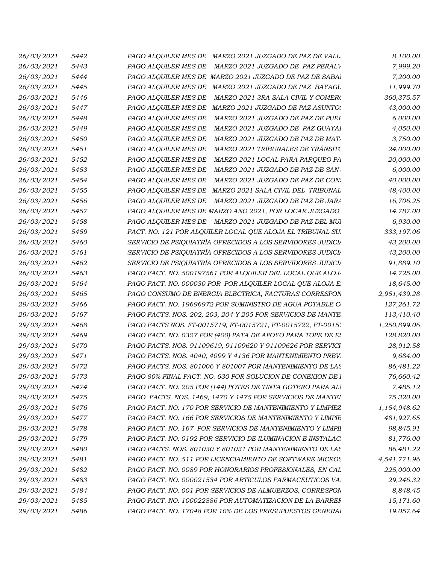| 26/03/2021               | 5442 | PAGO ALQUILER MES DE MARZO 2021 JUZGADO DE PAZ DE VALL                                                                  | 8,100.00              |
|--------------------------|------|-------------------------------------------------------------------------------------------------------------------------|-----------------------|
| 26/03/2021               | 5443 | PAGO ALQUILER MES DE MARZO 2021 JUZGADO DE PAZ PERALV                                                                   | 7,999.20              |
| 26/03/2021               | 5444 | PAGO ALQUILER MES DE MARZO 2021 JUZGADO DE PAZ DE SABAJ                                                                 | 7,200.00              |
| 26/03/2021               | 5445 | PAGO ALQUILER MES DE MARZO 2021 JUZGADO DE PAZ BAYAGU                                                                   | 11,999.70             |
| 26/03/2021               | 5446 | PAGO ALQUILER MES DE MARZO 2021 3RA SALA CIVIL Y COMERO                                                                 | 360,375.57            |
| 26/03/2021               | 5447 | PAGO ALQUILER MES DE MARZO 2021 JUZGADO DE PAZ ASUNTO.                                                                  | 43,000.00             |
| 26/03/2021               | 5448 | PAGO ALQUILER MES DE MARZO 2021 JUZGADO DE PAZ DE PUEI                                                                  | 6,000.00              |
| 26/03/2021               | 5449 | PAGO ALQUILER MES DE MARZO 2021 JUZGADO DE PAZ GUAYAI                                                                   | 4,050.00              |
| 26/03/2021               | 5450 | PAGO ALQUILER MES DE MARZO 2021 JUZGADO DE PAZ DE MAT.                                                                  | 3,750.00              |
| 26/03/2021               | 5451 | PAGO ALQUILER MES DE MARZO 2021 TRIBUNALES DE TRÁNSITO                                                                  | 24,000.00             |
| 26/03/2021               | 5452 | PAGO ALQUILER MES DE MARZO 2021 LOCAL PARA PARQUEO PA                                                                   | 20,000.00             |
| 26/03/2021               | 5453 | PAGO ALQUILER MES DE MARZO 2021 JUZGADO DE PAZ DE SAN                                                                   | 6,000.00              |
| 26/03/2021               | 5454 | PAGO ALQUILER MES DE MARZO 2021 JUZGADO DE PAZ DE CON                                                                   | 40,000.00             |
| 26/03/2021               | 5455 | PAGO ALQUILER MES DE MARZO 2021 SALA CIVIL DEL TRIBUNAL                                                                 | 48,400.00             |
| 26/03/2021               | 5456 | PAGO ALQUILER MES DE MARZO 2021 JUZGADO DE PAZ DE JARA                                                                  | 16,706.25             |
| 26/03/2021               | 5457 | PAGO ALQUILER MES DE MARZO ANO 2021, POR LOCAR JUZGADO                                                                  | 14,787.00             |
| 26/03/2021               | 5458 | PAGO ALQUILER MES DE MARZO 2021 JUZGADO DE PAZ DEL MUI                                                                  | 6,930.00              |
| 26/03/2021               | 5459 | FACT. NO. 121 POR ALQUILER LOCAL QUE ALOJA EL TRIBUNAL SU.                                                              | 333,197.06            |
| 26/03/2021               | 5460 | SERVICIO DE PSIQUIATRÍA OFRECIDOS A LOS SERVIDORES JUDICIA                                                              | 43,200.00             |
| 26/03/2021               | 5461 | SERVICIO DE PSIQUIATRÍA OFRECIDOS A LOS SERVIDORES JUDICIA                                                              | 43,200.00             |
| 26/03/2021               | 5462 | SERVICIO DE PSIQUIATRÍA OFRECIDOS A LOS SERVIDORES JUDICIA                                                              | 91,889.10             |
| 26/03/2021               | 5463 | PAGO FACT. NO. 500197561 POR ALQUILER DEL LOCAL QUE ALOJ.                                                               | 14,725.00             |
| 26/03/2021               | 5464 | PAGO FACT. NO. 000030 POR POR ALQUILER LOCAL QUE ALOJA E                                                                | 18,645.00             |
| 26/03/2021               | 5465 | PAGO CONSUMO DE ENERGIA ELECTRICA, FACTURAS CORRESPON                                                                   | 2,951,439.28          |
| 29/03/2021               | 5466 | PAGO FACT. NO. 19696972 POR SUMINISTRO DE AGUA POTABLE C                                                                | 127,261.72            |
| 29/03/2021               | 5467 | PAGO FACTS. NOS. 202, 203, 204 Y 205 POR SERVICIOS DE MANTE                                                             | 113,410.40            |
| 29/03/2021               | 5468 | PAGO FACTS NOS. FT-0015719, FT-0015721, FT-0015722, FT-0015.                                                            | 1,250,899.06          |
| 29/03/2021               | 5469 | PAGO FACT. NO. 0327 POR (400) PATA DE APOYO PARA TOPE DE E.                                                             | 128,820.00            |
| 29/03/2021               | 5470 | PAGO FACTS. NOS. 91109619, 91109620 Y 91109626 POR SERVICI                                                              | 28,912.58             |
|                          | 5471 |                                                                                                                         |                       |
| 29/03/2021<br>29/03/2021 | 5472 | PAGO FACTS. NOS. 4040, 4099 Y 4136 POR MANTENIMIENTO PREV.<br>PAGO FACTS. NOS. 801006 Y 801007 POR MANTENIMIENTO DE LAS | 9,684.00<br>86,481.22 |
| 29/03/2021               | 5473 |                                                                                                                         |                       |
|                          |      | PAGO 80% FINAL FACT. NO. 630 POR SOLUCION DE CONEXION DE i                                                              | 76,660.42             |
| 29/03/2021               | 5474 | PAGO FACT. NO. 205 POR (144) POTES DE TINTA GOTERO PARA ALI                                                             | 7,485.12              |
| 29/03/2021               | 5475 | PAGO FACTS. NOS. 1469, 1470 Y 1475 POR SERVICIOS DE MANTEL                                                              | 75,320.00             |
| 29/03/2021               | 5476 | PAGO FACT. NO. 170 POR SERVICIO DE MANTENIMIENTO Y LIMPIEZ                                                              | 1,154,948.62          |
| 29/03/2021               | 5477 | PAGO FACT. NO. 166 POR SERVICIOS DE MANTENIMIENTO Y LIMPIE                                                              | 481,927.65            |
| 29/03/2021               | 5478 | PAGO FACT. NO. 167 POR SERVICIOS DE MANTENIMIENTO Y LIMPII                                                              | 98,845.91             |
| 29/03/2021               | 5479 | PAGO FACT. NO. 0192 POR SERVICIO DE ILUMINACION E INSTALAC                                                              | 81,776.00             |
| 29/03/2021               | 5480 | PAGO FACTS. NOS. 801030 Y 801031 POR MANTENIMIENTO DE LAS                                                               | 86,481.22             |
| 29/03/2021               | 5481 | PAGO FACT. NO. 511 POR LICENCIAMIENTO DE SOFTWARE MICROS                                                                | 4,541,771.96          |
| 29/03/2021               | 5482 | PAGO FACT. NO. 0089 POR HONORARIOS PROFESIONALES, EN CAL                                                                | 225,000.00            |
| 29/03/2021               | 5483 | PAGO FACT. NO. 000021534 POR ARTICULOS FARMACEUTICOS VA.                                                                | 29,246.32             |
| 29/03/2021               | 5484 | PAGO FACT. NO. 001 POR SERVICIOS DE ALMUERZOS, CORRESPON                                                                | 8,848.45              |
| 29/03/2021               | 5485 | PAGO FACT. NO. 100022886 POR AUTOMATIZACION DE LA BARREF                                                                | 15,171.60             |
| 29/03/2021               | 5486 | PAGO FACT. NO. 17048 POR 10% DE LOS PRESUPUESTOS GENERAL                                                                | 19,057.64             |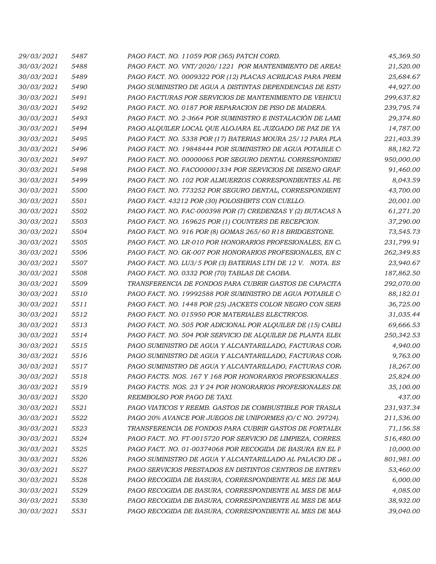| 29/03/2021        | 5487 | PAGO FACT. NO. 11059 POR (365) PATCH CORD.                  | 45,369.50  |
|-------------------|------|-------------------------------------------------------------|------------|
| 30/03/2021        | 5488 | PAGO FACT. NO. VNT/2020/1221 POR MANTENIMIENTO DE AREAS     | 21,520.00  |
| 30/03/2021        | 5489 | PAGO FACT. NO. 0009322 POR (12) PLACAS ACRILICAS PARA PREM  | 25,684.67  |
| 30/03/2021        | 5490 | PAGO SUMINISTRO DE AGUA A DISTINTAS DEPENDENCIAS DE ESTA    | 44,927.00  |
| <i>30/03/2021</i> | 5491 | PAGO FACTURAS POR SERVICIOS DE MANTENIMIENTO DE VEHICUI     | 299,637.82 |
| 30/03/2021        | 5492 | PAGO FACT. NO. 0187 POR REPARACION DE PISO DE MADERA        | 239,795.74 |
| 30/03/2021        | 5493 | PAGO FACT. NO. 2-3664 POR SUMINISTRO E INSTALACIÓN DE LAMI  | 29,374.80  |
| 30/03/2021        | 5494 | PAGO ALQUILER LOCAL QUE ALOJARA EL JUZGADO DE PAZ DE YA     | 14,787.00  |
| 30/03/2021        | 5495 | PAGO FACT. NO. 5338 POR (17) BATERIAS MOURA 25/12 PARA PLA  | 221,403.39 |
| 30/03/2021        | 5496 | PAGO FACT. NO. 19848444 POR SUMINISTRO DE AGUA POTABLE C    | 88,182.72  |
| 30/03/2021        | 5497 | PAGO FACT. NO. 00000065 POR SEGURO DENTAL CORRESPONDIE!     | 950,000.00 |
| <i>30/03/2021</i> | 5498 | PAGO FACT. NO. FACO00001334 POR SERVICIOS DE DISENO GRAF.   | 91,460.00  |
| 30/03/2021        | 5499 | PAGO FACT. NO. 102 POR ALMUERZOS CORRESPONDIENTES AL PE     | 8,043.59   |
| 30/03/2021        | 5500 | PAGO FACT. NO. 773252 POR SEGURO DENTAL, CORRESPONDIENT     | 43,700.00  |
| 30/03/2021        | 5501 | PAGO FACT. 43212 POR (30) POLOSHIRTS CON CUELLO.            | 20,001.00  |
| 30/03/2021        | 5502 | PAGO FACT. NO. FAC-000398 POR (7) CREDENZAS Y (2) BUTACAS N | 61,271.20  |
| <i>30/03/2021</i> | 5503 | PAGO FACT. NO. 169625 POR (1) COUNTERS DE RECEPCION.        | 37,290.00  |
| 30/03/2021        | 5504 | PAGO FACT. NO. 916 POR (8) GOMAS 265/60 R18 BRIDGESTONE.    | 73,545.73  |
| <i>30/03/2021</i> | 5505 | PAGO FACT. NO. LR-010 POR HONORARIOS PROFESIONALES, EN C.   | 231,799.91 |
| 30/03/2021        | 5506 | PAGO FACT. NO. GK-007 POR HONORARIOS PROFESIONALES, EN C    | 262,349.85 |
| 30/03/2021        | 5507 | PAGO FACT. NO. LU3/5 POR (3) BATERIAS LTH DE 12 V. NOTA. ES | 23,940.67  |
| <i>30/03/2021</i> | 5508 | PAGO FACT. NO. 0332 POR (70) TABLAS DE CAOBA.               | 187,862.50 |
| 30/03/2021        | 5509 | TRANSFERENCIA DE FONDOS PARA CUBRIR GASTOS DE CAPACITA      | 292,070.00 |
| <i>30/03/2021</i> | 5510 | PAGO FACT. NO. 19992588 POR SUMINISTRO DE AGUA POTABLE C    | 88,182.01  |
| 30/03/2021        | 5511 | PAGO FACT. NO. 1448 POR (25) JACKETS COLOR NEGRO CON SERI   | 36,725.00  |
| 30/03/2021        | 5512 | PAGO FACT. NO. 015950 POR MATERIALES ELECTRICOS.            | 31,035.44  |
| 30/03/2021        | 5513 | PAGO FACT. NO. 505 POR ADICIONAL POR ALQUILER DE (15) CABLI | 69,666.53  |
| 30/03/2021        | 5514 | PAGO FACT. NO. 504 POR SERVICIO DE ALQUILER DE PLANTA ELEC  | 250,342.53 |
| 30/03/2021        | 5515 | PAGO SUMINISTRO DE AGUA Y ALCANTARILLADO, FACTURAS COR.     | 4,940.00   |
| <i>30/03/2021</i> | 5516 | PAGO SUMINISTRO DE AGUA Y ALCANTARILLADO, FACTURAS COR.     | 9,763.00   |
| 30/03/2021        | 5517 | PAGO SUMINISTRO DE AGUA Y ALCANTARILLADO, FACTURAS COR.     | 18,267.00  |
|                   |      | PAGO FACTS. NOS. 167 Y 168 POR HONORARIOS PROFESIONALES     |            |
| 30/03/2021        | 5518 |                                                             | 25,824.00  |
| 30/03/2021        | 5519 | PAGO FACTS. NOS. 23 Y 24 POR HONORARIOS PROFESIONALES DE    | 35,100.00  |
| 30/03/2021        | 5520 | REEMBOLSO POR PAGO DE TAXI.                                 | 437.00     |
| 30/03/2021        | 5521 | PAGO VIATICOS Y REEMB. GASTOS DE COMBUSTIBLE POR TRASLA     | 231,937.34 |
| 30/03/2021        | 5522 | PAGO 20% AVANCE POR JUEGOS DE UNIFORMES (O/C NO. 29724).    | 211,536.00 |
| 30/03/2021        | 5523 | TRANSFERENCIA DE FONDOS PARA CUBRIR GASTOS DE FORTALE(      | 71,156.58  |
| 30/03/2021        | 5524 | PAGO FACT. NO. FT-0015720 POR SERVICIO DE LIMPIEZA, CORRES. | 516,480.00 |
| 30/03/2021        | 5525 | PAGO FACT. NO. 01-00374068 POR RECOGIDA DE BASURA EN EL F   | 10,000.00  |
| 30/03/2021        | 5526 | PAGO SUMINISTRO DE AGUA Y ALCANTARILLADO AL PALACIO DE J    | 801,981.00 |
| 30/03/2021        | 5527 | PAGO SERVICIOS PRESTADOS EN DISTINTOS CENTROS DE ENTREV     | 53,460.00  |
| 30/03/2021        | 5528 | PAGO RECOGIDA DE BASURA, CORRESPONDIENTE AL MES DE MAI      | 6,000.00   |
| 30/03/2021        | 5529 | PAGO RECOGIDA DE BASURA, CORRESPONDIENTE AL MES DE MAI      | 4,085.00   |
| 30/03/2021        | 5530 | PAGO RECOGIDA DE BASURA, CORRESPONDIENTE AL MES DE MAI      | 38,932.00  |
| 30/03/2021        | 5531 | PAGO RECOGIDA DE BASURA, CORRESPONDIENTE AL MES DE MAI      | 39,040.00  |